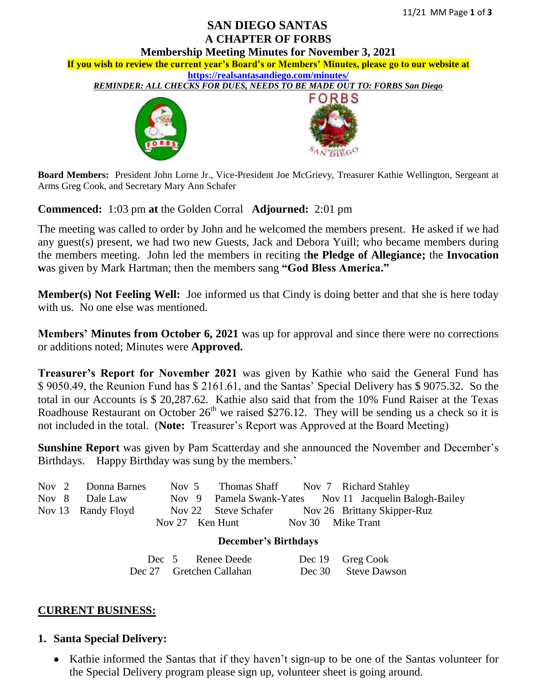# **SAN DIEGO SANTAS A CHAPTER OF FORBS**



**Board Members:** President John Lorne Jr., Vice-President Joe McGrievy, Treasurer Kathie Wellington, Sergeant at Arms Greg Cook, and Secretary Mary Ann Schafer

**Commenced:** 1:03 pm **at** the Golden Corral **Adjourned:** 2:01 pm

The meeting was called to order by John and he welcomed the members present. He asked if we had any guest(s) present, we had two new Guests, Jack and Debora Yuill; who became members during the members meeting. John led the members in reciting t**he Pledge of Allegiance;** the **Invocation w**as given by Mark Hartman; then the members sang **"God Bless America."**

**Member(s) Not Feeling Well:** Joe informed us that Cindy is doing better and that she is here today with us. No one else was mentioned.

**Members' Minutes from October 6, 2021** was up for approval and since there were no corrections or additions noted; Minutes were **Approved.**

**Treasurer's Report for November 2021** was given by Kathie who said the General Fund has \$ 9050.49, the Reunion Fund has \$ 2161.61, and the Santas' Special Delivery has \$ 9075.32. So the total in our Accounts is \$ 20,287.62. Kathie also said that from the 10% Fund Raiser at the Texas Roadhouse Restaurant on October  $26<sup>th</sup>$  we raised \$276.12. They will be sending us a check so it is not included in the total. (**Note:** Treasurer's Report was Approved at the Board Meeting)

**Sunshine Report** was given by Pam Scatterday and she announced the November and December's Birthdays. Happy Birthday was sung by the members.'

|                             | Nov 2 Donna Barnes |  | Nov 5 Thomas Shaff Nov 7 Richard Stahley |                   |                                                         |
|-----------------------------|--------------------|--|------------------------------------------|-------------------|---------------------------------------------------------|
|                             | Nov 8 Dale Law     |  |                                          |                   | Nov 9 Pamela Swank-Yates Nov 11 Jacquelin Balogh-Bailey |
|                             | Nov 13 Randy Floyd |  |                                          |                   | Nov 22 Steve Schafer Nov 26 Brittany Skipper-Ruz        |
|                             |                    |  | Nov 27 Ken Hunt                          | Nov 30 Mike Trant |                                                         |
| <b>December's Birthdays</b> |                    |  |                                          |                   |                                                         |

| Dec 5 Renee Deede        | Dec 19 Greg Cook    |
|--------------------------|---------------------|
| Dec 27 Gretchen Callahan | Dec 30 Steve Dawson |

#### **CURRENT BUSINESS:**

#### **1. Santa Special Delivery:**

• Kathie informed the Santas that if they haven't sign-up to be one of the Santas volunteer for the Special Delivery program please sign up, volunteer sheet is going around.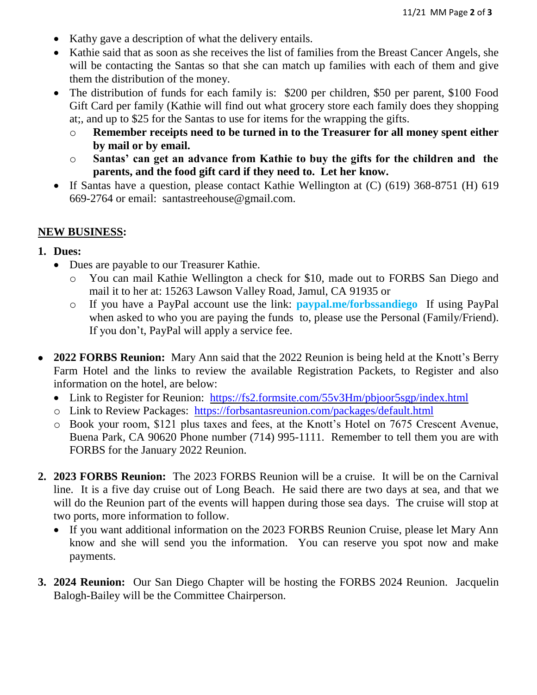- Kathy gave a description of what the delivery entails.
- Kathie said that as soon as she receives the list of families from the Breast Cancer Angels, she will be contacting the Santas so that she can match up families with each of them and give them the distribution of the money.
- The distribution of funds for each family is: \$200 per children, \$50 per parent, \$100 Food Gift Card per family (Kathie will find out what grocery store each family does they shopping at;, and up to \$25 for the Santas to use for items for the wrapping the gifts.
	- o **Remember receipts need to be turned in to the Treasurer for all money spent either by mail or by email.**
	- o **Santas' can get an advance from Kathie to buy the gifts for the children and the parents, and the food gift card if they need to. Let her know.**
- If Santas have a question, please contact Kathie Wellington at (C) (619) 368-8751 (H) 619 669-2764 or email: santastreehouse@gmail.com.

#### **NEW BUSINESS:**

- **1. Dues:**
	- Dues are payable to our Treasurer Kathie.
		- o You can mail Kathie Wellington a check for \$10, made out to FORBS San Diego and mail it to her at: 15263 Lawson Valley Road, Jamul, CA 91935 or
		- o If you have a PayPal account use the link: **paypal.me/forbssandiego** If using PayPal when asked to who you are paying the funds to, please use the Personal (Family/Friend). If you don't, PayPal will apply a service fee.
- **2022 FORBS Reunion:** Mary Ann said that the 2022 Reunion is being held at the Knott's Berry Farm Hotel and the links to review the available Registration Packets, to Register and also information on the hotel, are below:
	- Link to Register for Reunion: <https://fs2.formsite.com/55v3Hm/pbjoor5sgp/index.html>
	- o Link to Review Packages: <https://forbsantasreunion.com/packages/default.html>
	- o Book your room, \$121 plus taxes and fees, at the Knott's Hotel on 7675 Crescent Avenue, Buena Park, CA 90620 Phone number (714) 995-1111. Remember to tell them you are with FORBS for the January 2022 Reunion.
- **2. 2023 FORBS Reunion:** The 2023 FORBS Reunion will be a cruise. It will be on the Carnival line. It is a five day cruise out of Long Beach. He said there are two days at sea, and that we will do the Reunion part of the events will happen during those sea days. The cruise will stop at two ports, more information to follow.
	- If you want additional information on the 2023 FORBS Reunion Cruise, please let Mary Ann know and she will send you the information. You can reserve you spot now and make payments.
- **3. 2024 Reunion:** Our San Diego Chapter will be hosting the FORBS 2024 Reunion. Jacquelin Balogh-Bailey will be the Committee Chairperson.